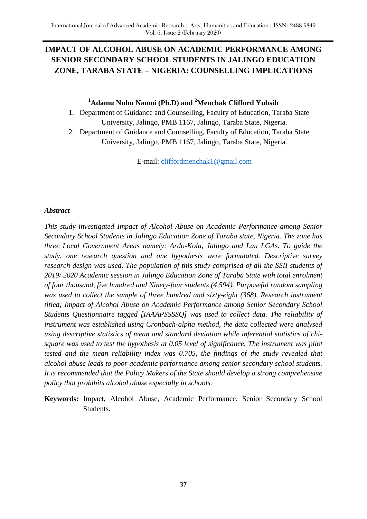# **IMPACT OF ALCOHOL ABUSE ON ACADEMIC PERFORMANCE AMONG SENIOR SECONDARY SCHOOL STUDENTS IN JALINGO EDUCATION ZONE, TARABA STATE – NIGERIA: COUNSELLING IMPLICATIONS**

### **<sup>1</sup>Adamu Nuhu Naomi (Ph.D) and <sup>2</sup>Menchak Clifford Yubsih**

- 1. Department of Guidance and Counselling, Faculty of Education, Taraba State University, Jalingo, PMB 1167, Jalingo, Taraba State, Nigeria.
- 2. Department of Guidance and Counselling, Faculty of Education, Taraba State University, Jalingo, PMB 1167, Jalingo, Taraba State, Nigeria.

E-mail: [cliffordmenchak1@gmail.com](mailto:cliffordmenchak1@gmail.com)

#### *Abstract*

*This study investigated Impact of Alcohol Abuse on Academic Performance among Senior Secondary School Students in Jalingo Education Zone of Taraba state, Nigeria. The zone has three Local Government Areas namely: Ardo-Kola, Jalingo and Lau LGAs. To guide the study, one research question and one hypothesis were formulated. Descriptive survey research design was used. The population of this study comprised of all the SSII students of 2019/ 2020 Academic session in Jalingo Education Zone of Taraba State with total enrolment of four thousand, five hundred and Ninety-four students (4,594). Purposeful random sampling was used to collect the sample of three hundred and sixty-eight (368). Research instrument titled; Impact of Alcohol Abuse on Academic Performance among Senior Secondary School Students Questionnaire tagged [IAAAPSSSSQ] was used to collect data. The reliability of instrument was established using Cronbach-alpha method, the data collected were analysed using descriptive statistics of mean and standard deviation while inferential statistics of chisquare was used to test the hypothesis at 0.05 level of significance. The instrument was pilot tested and the mean reliability index was 0.705, the findings of the study revealed that alcohol abuse leads to poor academic performance among senior secondary school students. It is recommended that the Policy Makers of the State should develop a strong comprehensive policy that prohibits alcohol abuse especially in schools.*

**Keywords:** Impact, Alcohol Abuse, Academic Performance, Senior Secondary School Students.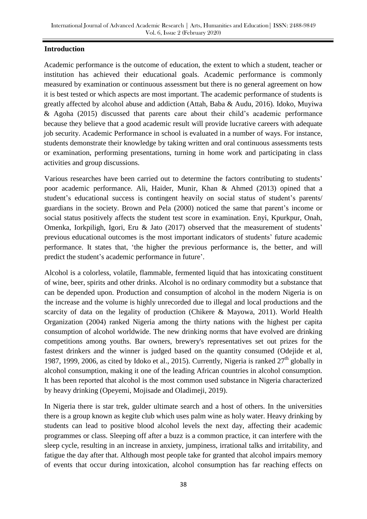### **Introduction**

Academic performance is the outcome of education, the extent to which a student, teacher or institution has achieved their educational goals. Academic performance is commonly measured by examination or continuous assessment but there is no general agreement on how it is best tested or which aspects are most important. The academic performance of students is greatly affected by alcohol abuse and addiction (Attah, Baba & Audu, 2016). Idoko, Muyiwa & Agoha (2015) discussed that parents care about their child"s academic performance because they believe that a good academic result will provide lucrative careers with adequate job security. Academic Performance in school is evaluated in a number of ways. For instance, students demonstrate their knowledge by taking written and oral continuous assessments tests or examination, performing presentations, turning in home work and participating in class activities and group discussions.

Various researches have been carried out to determine the factors contributing to students" poor academic performance. Ali, Haider, Munir, Khan & Ahmed (2013) opined that a student's educational success is contingent heavily on social status of student's parents/ guardians in the society. Brown and Pela (2000) noticed the same that parent"s income or social status positively affects the student test score in examination. Enyi, Kpurkpur, Onah, Omenka, Iorkpiligh, Igori, Eru & Jato (2017) observed that the measurement of students' previous educational outcomes is the most important indicators of students" future academic performance. It states that, "the higher the previous performance is, the better, and will predict the student's academic performance in future'.

Alcohol is a colorless, volatile, flammable, fermented liquid that has intoxicating constituent of wine, beer, spirits and other drinks. Alcohol is no ordinary commodity but a substance that can be depended upon. Production and consumption of alcohol in the modern Nigeria is on the increase and the volume is highly unrecorded due to illegal and local productions and the scarcity of data on the legality of production (Chikere & Mayowa, 2011). World Health Organization (2004) ranked Nigeria among the thirty nations with the highest per capita consumption of alcohol worldwide. The new drinking norms that have evolved are drinking competitions among youths. Bar owners, brewery's representatives set out prizes for the fastest drinkers and the winner is judged based on the quantity consumed (Odejide et al, 1987, 1999, 2006, as cited by Idoko et al., 2015). Currently, Nigeria is ranked  $27<sup>th</sup>$  globally in alcohol consumption, making it one of the leading African countries in alcohol consumption. It has been reported that alcohol is the most common used substance in Nigeria characterized by heavy drinking (Opeyemi, Mojisade and Oladimeji, 2019).

In Nigeria there is star trek, gulder ultimate search and a host of others. In the universities there is a group known as kegite club which uses palm wine as holy water. Heavy drinking by students can lead to positive blood alcohol levels the next day, affecting their academic programmes or class. Sleeping off after a buzz is a common practice, it can interfere with the sleep cycle, resulting in an increase in anxiety, jumpiness, irrational talks and irritability, and fatigue the day after that. Although most people take for granted that alcohol impairs memory of events that occur during intoxication, alcohol consumption has far reaching effects on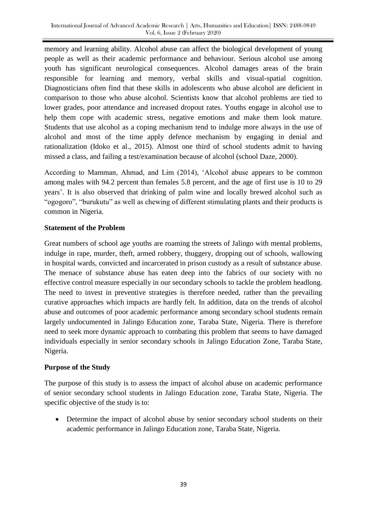memory and learning ability. Alcohol abuse can affect the biological development of young people as well as their academic performance and behaviour. Serious alcohol use among youth has significant neurological consequences. Alcohol damages areas of the brain responsible for learning and memory, verbal skills and visual-spatial cognition. Diagnosticians often find that these skills in adolescents who abuse alcohol are deficient in comparison to those who abuse alcohol. Scientists know that alcohol problems are tied to lower grades, poor attendance and increased dropout rates. Youths engage in alcohol use to help them cope with academic stress, negative emotions and make them look mature. Students that use alcohol as a coping mechanism tend to indulge more always in the use of alcohol and most of the time apply defence mechanism by engaging in denial and rationalization (Idoko et al., 2015). Almost one third of school students admit to having missed a class, and failing a test/examination because of alcohol (school Daze, 2000).

According to Mamman, Ahmad, and Lim (2014), "Alcohol abuse appears to be common among males with 94.2 percent than females 5.8 percent, and the age of first use is 10 to 29 years". It is also observed that drinking of palm wine and locally brewed alcohol such as "ogogoro", "burukutu" as well as chewing of different stimulating plants and their products is common in Nigeria.

## **Statement of the Problem**

Great numbers of school age youths are roaming the streets of Jalingo with mental problems, indulge in rape, murder, theft, armed robbery, thuggery, dropping out of schools, wallowing in hospital wards, convicted and incarcerated in prison custody as a result of substance abuse. The menace of substance abuse has eaten deep into the fabrics of our society with no effective control measure especially in our secondary schools to tackle the problem headlong. The need to invest in preventive strategies is therefore needed, rather than the prevailing curative approaches which impacts are hardly felt. In addition, data on the trends of alcohol abuse and outcomes of poor academic performance among secondary school students remain largely undocumented in Jalingo Education zone, Taraba State, Nigeria. There is therefore need to seek more dynamic approach to combating this problem that seems to have damaged individuals especially in senior secondary schools in Jalingo Education Zone, Taraba State, Nigeria.

## **Purpose of the Study**

The purpose of this study is to assess the impact of alcohol abuse on academic performance of senior secondary school students in Jalingo Education zone, Taraba State, Nigeria. The specific objective of the study is to:

• Determine the impact of alcohol abuse by senior secondary school students on their academic performance in Jalingo Education zone, Taraba State, Nigeria.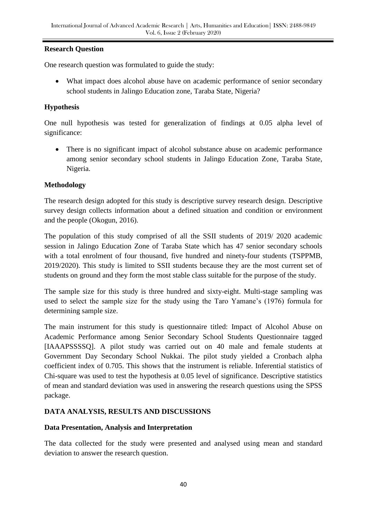### **Research Question**

One research question was formulated to guide the study:

 What impact does alcohol abuse have on academic performance of senior secondary school students in Jalingo Education zone, Taraba State, Nigeria?

### **Hypothesis**

One null hypothesis was tested for generalization of findings at 0.05 alpha level of significance:

• There is no significant impact of alcohol substance abuse on academic performance among senior secondary school students in Jalingo Education Zone, Taraba State, Nigeria.

### **Methodology**

The research design adopted for this study is descriptive survey research design. Descriptive survey design collects information about a defined situation and condition or environment and the people (Okogun, 2016).

The population of this study comprised of all the SSII students of 2019/ 2020 academic session in Jalingo Education Zone of Taraba State which has 47 senior secondary schools with a total enrolment of four thousand, five hundred and ninety-four students (TSPPMB, 2019/2020). This study is limited to SSII students because they are the most current set of students on ground and they form the most stable class suitable for the purpose of the study.

The sample size for this study is three hundred and sixty-eight. Multi-stage sampling was used to select the sample size for the study using the Taro Yamane's (1976) formula for determining sample size.

The main instrument for this study is questionnaire titled: Impact of Alcohol Abuse on Academic Performance among Senior Secondary School Students Questionnaire tagged [IAAAPSSSSQ]. A pilot study was carried out on 40 male and female students at Government Day Secondary School Nukkai. The pilot study yielded a Cronbach alpha coefficient index of 0.705. This shows that the instrument is reliable. Inferential statistics of Chi-square was used to test the hypothesis at 0.05 level of significance. Descriptive statistics of mean and standard deviation was used in answering the research questions using the SPSS package.

## **DATA ANALYSIS, RESULTS AND DISCUSSIONS**

### **Data Presentation, Analysis and Interpretation**

The data collected for the study were presented and analysed using mean and standard deviation to answer the research question.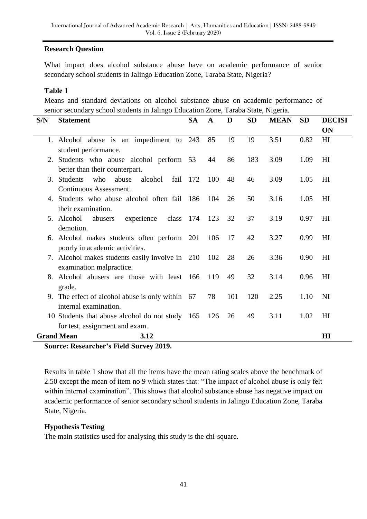### **Research Question**

What impact does alcohol substance abuse have on academic performance of senior secondary school students in Jalingo Education Zone, Taraba State, Nigeria?

#### **Table 1**

Means and standard deviations on alcohol substance abuse on academic performance of senior secondary school students in Jalingo Education Zone, Taraba State, Nigeria.

| S/N                                            | <b>Statement</b>                                   | <b>SA</b> | $\mathbf A$ | D   | <b>SD</b> | <b>MEAN</b> | <b>SD</b> | <b>DECISI</b>  |
|------------------------------------------------|----------------------------------------------------|-----------|-------------|-----|-----------|-------------|-----------|----------------|
|                                                |                                                    |           |             |     |           |             |           | ON             |
|                                                | 1. Alcohol abuse is an impediment to 243           |           | 85          | 19  | 19        | 3.51        | 0.82      | HI             |
|                                                | student performance.                               |           |             |     |           |             |           |                |
|                                                | 2. Students who abuse alcohol perform 53           |           | 44          | 86  | 183       | 3.09        | 1.09      | H <sub>I</sub> |
|                                                | better than their counterpart.                     |           |             |     |           |             |           |                |
| 3.                                             | fail<br><b>Students</b><br>who<br>abuse<br>alcohol | 172       | 100         | 48  | 46        | 3.09        | 1.05      | H <sub>I</sub> |
|                                                | Continuous Assessment.                             |           |             |     |           |             |           |                |
|                                                | 4. Students who abuse alcohol often fail 186       |           | 104         | 26  | 50        | 3.16        | 1.05      | H <sub>I</sub> |
|                                                | their examination.                                 |           |             |     |           |             |           |                |
|                                                | 5. Alcohol<br>experience<br>abusers<br>class       | 174       | 123         | 32  | 37        | 3.19        | 0.97      | H <sub>I</sub> |
|                                                | demotion.                                          |           |             |     |           |             |           |                |
|                                                | 6. Alcohol makes students often perform 201        |           | 106         | 17  | 42        | 3.27        | 0.99      | H <sub>I</sub> |
|                                                | poorly in academic activities.                     |           |             |     |           |             |           |                |
|                                                | 7. Alcohol makes students easily involve in 210    |           | 102         | 28  | 26        | 3.36        | 0.90      | H <sub>I</sub> |
|                                                | examination malpractice.                           |           |             |     |           |             |           |                |
|                                                | 8. Alcohol abusers are those with least 166        |           | 119         | 49  | 32        | 3.14        | 0.96      | H <sub>I</sub> |
|                                                | grade.                                             |           |             |     |           |             |           |                |
|                                                | 9. The effect of alcohol abuse is only within 67   |           | 78          | 101 | 120       | 2.25        | 1.10      | <b>NI</b>      |
|                                                | internal examination.                              |           |             |     |           |             |           |                |
|                                                | 10 Students that abuse alcohol do not study 165    |           | 126         | 26  | 49        | 3.11        | 1.02      | HI             |
|                                                | for test, assignment and exam.                     |           |             |     |           |             |           |                |
|                                                | <b>Grand Mean</b><br>3.12                          |           |             |     |           |             |           | H I            |
| <b>Source: Researcher's Field Survey 2019.</b> |                                                    |           |             |     |           |             |           |                |

Results in table 1 show that all the items have the mean rating scales above the benchmark of 2.50 except the mean of item no 9 which states that: "The impact of alcohol abuse is only felt within internal examination". This shows that alcohol substance abuse has negative impact on academic performance of senior secondary school students in Jalingo Education Zone, Taraba State, Nigeria.

### **Hypothesis Testing**

The main statistics used for analysing this study is the chi-square.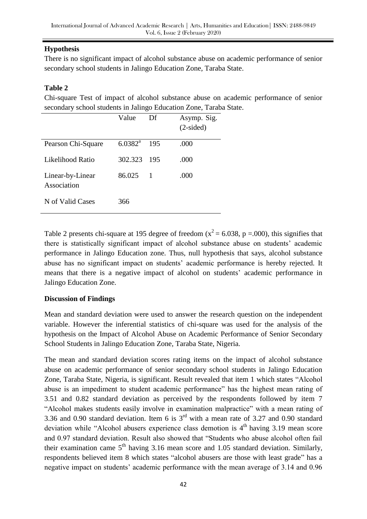## **Hypothesis**

There is no significant impact of alcohol substance abuse on academic performance of senior secondary school students in Jalingo Education Zone, Taraba State.

### **Table 2**

Chi-square Test of impact of alcohol substance abuse on academic performance of senior secondary school students in Jalingo Education Zone, Taraba State.

|                                 | Value            | Df  | Asymp. Sig.<br>$(2-sided)$ |
|---------------------------------|------------------|-----|----------------------------|
| Pearson Chi-Square              | $6.0382^{\rm a}$ | 195 | .000                       |
| Likelihood Ratio                | 302.323          | 195 | .000                       |
| Linear-by-Linear<br>Association | 86.025           | 1   | .000                       |
| N of Valid Cases                | 366              |     |                            |

Table 2 presents chi-square at 195 degree of freedom ( $x^2 = 6.038$ , p =.000), this signifies that there is statistically significant impact of alcohol substance abuse on students" academic performance in Jalingo Education zone. Thus, null hypothesis that says, alcohol substance abuse has no significant impact on students" academic performance is hereby rejected. It means that there is a negative impact of alcohol on students' academic performance in Jalingo Education Zone.

### **Discussion of Findings**

Mean and standard deviation were used to answer the research question on the independent variable. However the inferential statistics of chi-square was used for the analysis of the hypothesis on the Impact of Alcohol Abuse on Academic Performance of Senior Secondary School Students in Jalingo Education Zone, Taraba State, Nigeria.

The mean and standard deviation scores rating items on the impact of alcohol substance abuse on academic performance of senior secondary school students in Jalingo Education Zone, Taraba State, Nigeria, is significant. Result revealed that item 1 which states "Alcohol abuse is an impediment to student academic performance" has the highest mean rating of 3.51 and 0.82 standard deviation as perceived by the respondents followed by item 7 "Alcohol makes students easily involve in examination malpractice" with a mean rating of 3.36 and 0.90 standard deviation. Item 6 is 3rd with a mean rate of 3.27 and 0.90 standard deviation while "Alcohol abusers experience class demotion is  $4<sup>th</sup>$  having 3.19 mean score and 0.97 standard deviation. Result also showed that "Students who abuse alcohol often fail their examination came  $5<sup>th</sup>$  having 3.16 mean score and 1.05 standard deviation. Similarly, respondents believed item 8 which states "alcohol abusers are those with least grade" has a negative impact on students' academic performance with the mean average of 3.14 and 0.96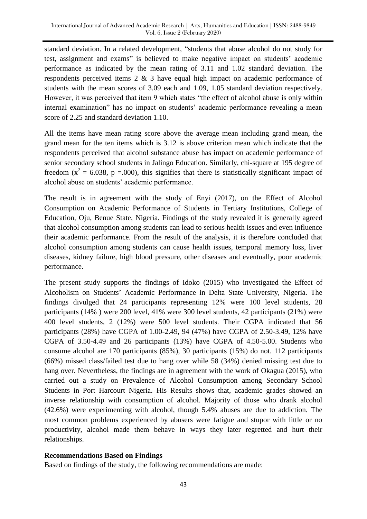standard deviation. In a related development, "students that abuse alcohol do not study for test, assignment and exams" is believed to make negative impact on students" academic performance as indicated by the mean rating of 3.11 and 1.02 standard deviation. The respondents perceived items 2 & 3 have equal high impact on academic performance of students with the mean scores of 3.09 each and 1.09, 1.05 standard deviation respectively. However, it was perceived that item 9 which states "the effect of alcohol abuse is only within internal examination" has no impact on students' academic performance revealing a mean score of 2.25 and standard deviation 1.10.

All the items have mean rating score above the average mean including grand mean, the grand mean for the ten items which is 3.12 is above criterion mean which indicate that the respondents perceived that alcohol substance abuse has impact on academic performance of senior secondary school students in Jalingo Education. Similarly, chi-square at 195 degree of freedom ( $x^2 = 6.038$ , p =.000), this signifies that there is statistically significant impact of alcohol abuse on students" academic performance.

The result is in agreement with the study of Enyi (2017), on the Effect of Alcohol Consumption on Academic Performance of Students in Tertiary Institutions, College of Education, Oju, Benue State, Nigeria. Findings of the study revealed it is generally agreed that alcohol consumption among students can lead to serious health issues and even influence their academic performance. From the result of the analysis, it is therefore concluded that alcohol consumption among students can cause health issues, temporal memory loss, liver diseases, kidney failure, high blood pressure, other diseases and eventually, poor academic performance.

The present study supports the findings of Idoko (2015) who investigated the Effect of Alcoholism on Students" Academic Performance in Delta State University, Nigeria. The findings divulged that 24 participants representing 12% were 100 level students, 28 participants (14% ) were 200 level, 41% were 300 level students, 42 participants (21%) were 400 level students, 2 (12%) were 500 level students. Their CGPA indicated that 56 participants (28%) have CGPA of 1.00-2.49, 94 (47%) have CGPA of 2.50-3.49, 12% have CGPA of 3.50-4.49 and 26 participants (13%) have CGPA of 4.50-5.00. Students who consume alcohol are 170 participants (85%), 30 participants (15%) do not. 112 participants (66%) missed class/failed test due to hang over while 58 (34%) denied missing test due to hang over. Nevertheless, the findings are in agreement with the work of Okagua (2015), who carried out a study on Prevalence of Alcohol Consumption among Secondary School Students in Port Harcourt Nigeria. His Results shows that, academic grades showed an inverse relationship with consumption of alcohol. Majority of those who drank alcohol (42.6%) were experimenting with alcohol, though 5.4% abuses are due to addiction. The most common problems experienced by abusers were fatigue and stupor with little or no productivity, alcohol made them behave in ways they later regretted and hurt their relationships.

### **Recommendations Based on Findings**

Based on findings of the study, the following recommendations are made: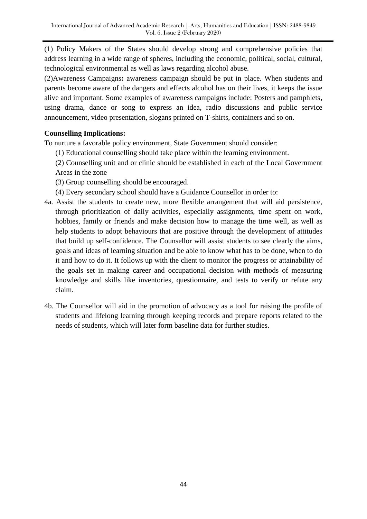(1) Policy Makers of the States should develop strong and comprehensive policies that address learning in a wide range of spheres, including the economic, political, social, cultural, technological environmental as well as laws regarding alcohol abuse.

(2)Awareness Campaigns**:** awareness campaign should be put in place. When students and parents become aware of the dangers and effects alcohol has on their lives, it keeps the issue alive and important. Some examples of awareness campaigns include: Posters and pamphlets, using drama, dance or song to express an idea, radio discussions and public service announcement, video presentation, slogans printed on T-shirts, containers and so on.

## **Counselling Implications:**

To nurture a favorable policy environment, State Government should consider:

- (1) Educational counselling should take place within the learning environment.
- (2) Counselling unit and or clinic should be established in each of the Local Government Areas in the zone
- (3) Group counselling should be encouraged.
- (4) Every secondary school should have a Guidance Counsellor in order to:
- 4a. Assist the students to create new, more flexible arrangement that will aid persistence, through prioritization of daily activities, especially assignments, time spent on work, hobbies, family or friends and make decision how to manage the time well, as well as help students to adopt behaviours that are positive through the development of attitudes that build up self-confidence. The Counsellor will assist students to see clearly the aims, goals and ideas of learning situation and be able to know what has to be done, when to do it and how to do it. It follows up with the client to monitor the progress or attainability of the goals set in making career and occupational decision with methods of measuring knowledge and skills like inventories, questionnaire, and tests to verify or refute any claim.
- 4b. The Counsellor will aid in the promotion of advocacy as a tool for raising the profile of students and lifelong learning through keeping records and prepare reports related to the needs of students, which will later form baseline data for further studies.